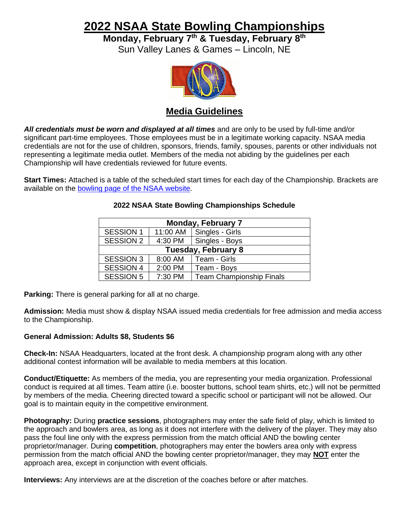## **2022 NSAA State Bowling Championships**

**Monday, February 7 th & Tuesday, February 8 th**

Sun Valley Lanes & Games – Lincoln, NE



## **Media Guidelines**

*All credentials must be worn and displayed at all times* and are only to be used by full-time and/or significant part-time employees. Those employees must be in a legitimate working capacity. NSAA media credentials are not for the use of children, sponsors, friends, family, spouses, parents or other individuals not representing a legitimate media outlet. Members of the media not abiding by the guidelines per each Championship will have credentials reviewed for future events.

**Start Times:** Attached is a table of the scheduled start times for each day of the Championship. Brackets are available on the [bowling page of the NSAA website.](https://nsaahome.org/bowling/)

| <b>Monday, February 7</b>  |          |                                 |
|----------------------------|----------|---------------------------------|
| <b>SESSION 1</b>           | 11:00 AM | Singles - Girls                 |
| <b>SESSION 2</b>           |          | 4:30 PM   Singles - Boys        |
| <b>Tuesday, February 8</b> |          |                                 |
| <b>SESSION 3</b>           | 8:00 AM  | Team - Girls                    |
| <b>SESSION 4</b>           | 2:00 PM  | Team - Boys                     |
| <b>SESSION 5</b>           | 7:30 PM  | <b>Team Championship Finals</b> |

## **2022 NSAA State Bowling Championships Schedule**

**Parking:** There is general parking for all at no charge.

**Admission:** Media must show & display NSAA issued media credentials for free admission and media access to the Championship.

## **General Admission: Adults \$8, Students \$6**

**Check-In:** NSAA Headquarters, located at the front desk. A championship program along with any other additional contest information will be available to media members at this location.

**Conduct/Etiquette:** As members of the media, you are representing your media organization. Professional conduct is required at all times. Team attire (i.e. booster buttons, school team shirts, etc.) will not be permitted by members of the media. Cheering directed toward a specific school or participant will not be allowed. Our goal is to maintain equity in the competitive environment.

**Photography:** During **practice sessions**, photographers may enter the safe field of play, which is limited to the approach and bowlers area, as long as it does not interfere with the delivery of the player. They may also pass the foul line only with the express permission from the match official AND the bowling center proprietor/manager. During **competition**, photographers may enter the bowlers area only with express permission from the match official AND the bowling center proprietor/manager, they may **NOT** enter the approach area, except in conjunction with event officials.

**Interviews:** Any interviews are at the discretion of the coaches before or after matches.